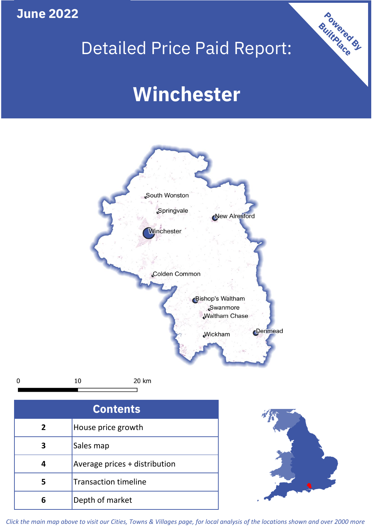**June 2022**

## Detailed Price Paid Report:

# **Winchester**



10 20 km  $\mathbf 0$ 

| <b>Contents</b> |                               |  |  |
|-----------------|-------------------------------|--|--|
| $\overline{2}$  | House price growth            |  |  |
| 3               | Sales map                     |  |  |
| 4               | Average prices + distribution |  |  |
| 5               | <b>Transaction timeline</b>   |  |  |
|                 | Depth of market               |  |  |



Powered By

*Click the main map above to visit our Cities, Towns & Villages page, for local analysis of the locations shown and over 2000 more*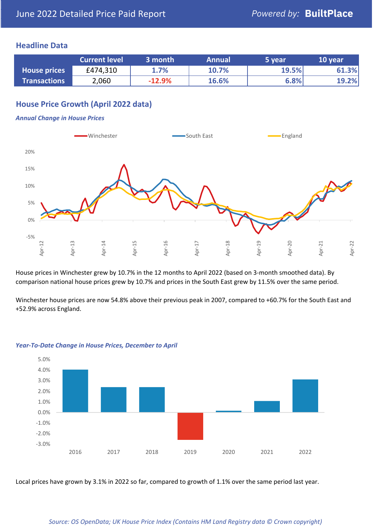#### **Headline Data**

|                     | <b>Current level</b> | 3 month  | <b>Annual</b> | 5 year | 10 year |
|---------------------|----------------------|----------|---------------|--------|---------|
| <b>House prices</b> | £474,310             | 1.7%     | 10.7%         | 19.5%  | 61.3%   |
| <b>Transactions</b> | 2,060                | $-12.9%$ | 16.6%         | 6.8%   | 19.2%   |

### **House Price Growth (April 2022 data)**

#### *Annual Change in House Prices*



House prices in Winchester grew by 10.7% in the 12 months to April 2022 (based on 3-month smoothed data). By comparison national house prices grew by 10.7% and prices in the South East grew by 11.5% over the same period.

Winchester house prices are now 54.8% above their previous peak in 2007, compared to +60.7% for the South East and +52.9% across England.



#### *Year-To-Date Change in House Prices, December to April*

Local prices have grown by 3.1% in 2022 so far, compared to growth of 1.1% over the same period last year.

#### *Source: OS OpenData; UK House Price Index (Contains HM Land Registry data © Crown copyright)*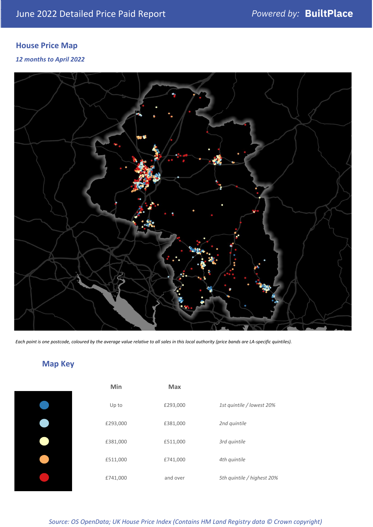### **House Price Map**

#### *12 months to April 2022*



*Each point is one postcode, coloured by the average value relative to all sales in this local authority (price bands are LA-specific quintiles).*

### **Map Key**

|  | Min      | <b>Max</b> |              |
|--|----------|------------|--------------|
|  | Up to    | £293,000   | 1st quintile |
|  | £293,000 | £381,000   | 2nd quintile |
|  | £381,000 | £511,000   | 3rd quintile |
|  | £511,000 | £741,000   | 4th quintile |
|  | £741,000 | and over   | 5th quintile |
|  |          |            |              |

*Source: OS OpenData; UK House Price Index (Contains HM Land Registry data © Crown copyright)*

0% Up to £293,000 *1st quintile / lowest 20%*

5th quintile / highest 20%

2nd quintile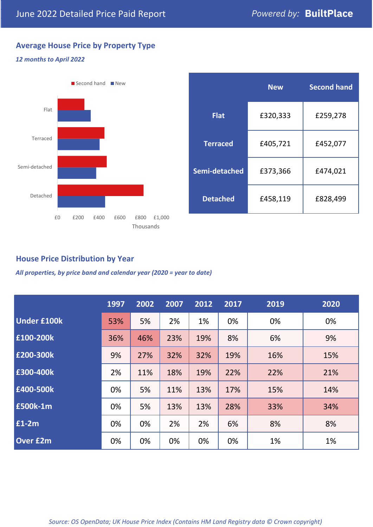### **Average House Price by Property Type**

#### *12 months to April 2022*



|                 | <b>New</b> | <b>Second hand</b> |  |  |
|-----------------|------------|--------------------|--|--|
| <b>Flat</b>     | £320,333   | £259,278           |  |  |
| <b>Terraced</b> | £405,721   | £452,077           |  |  |
| Semi-detached   | £373,366   | £474,021           |  |  |
| <b>Detached</b> | £458,119   | £828,499           |  |  |

#### **House Price Distribution by Year**

*All properties, by price band and calendar year (2020 = year to date)*

|                    | 1997 | 2002 | 2007 | 2012 | 2017 | 2019 | 2020 |
|--------------------|------|------|------|------|------|------|------|
| <b>Under £100k</b> | 53%  | 5%   | 2%   | 1%   | 0%   | 0%   | 0%   |
| £100-200k          | 36%  | 46%  | 23%  | 19%  | 8%   | 6%   | 9%   |
| E200-300k          | 9%   | 27%  | 32%  | 32%  | 19%  | 16%  | 15%  |
| £300-400k          | 2%   | 11%  | 18%  | 19%  | 22%  | 22%  | 21%  |
| £400-500k          | 0%   | 5%   | 11%  | 13%  | 17%  | 15%  | 14%  |
| <b>£500k-1m</b>    | 0%   | 5%   | 13%  | 13%  | 28%  | 33%  | 34%  |
| £1-2m              | 0%   | 0%   | 2%   | 2%   | 6%   | 8%   | 8%   |
| <b>Over £2m</b>    | 0%   | 0%   | 0%   | 0%   | 0%   | 1%   | 1%   |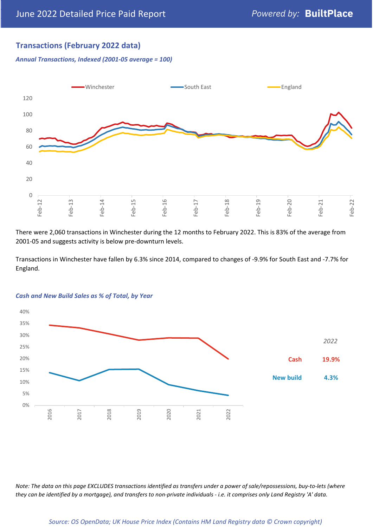#### **Transactions (February 2022 data)**

*Annual Transactions, Indexed (2001-05 average = 100)*



There were 2,060 transactions in Winchester during the 12 months to February 2022. This is 83% of the average from 2001-05 and suggests activity is below pre-downturn levels.

Transactions in Winchester have fallen by 6.3% since 2014, compared to changes of -9.9% for South East and -7.7% for England.



#### *Cash and New Build Sales as % of Total, by Year*

*Note: The data on this page EXCLUDES transactions identified as transfers under a power of sale/repossessions, buy-to-lets (where they can be identified by a mortgage), and transfers to non-private individuals - i.e. it comprises only Land Registry 'A' data.*